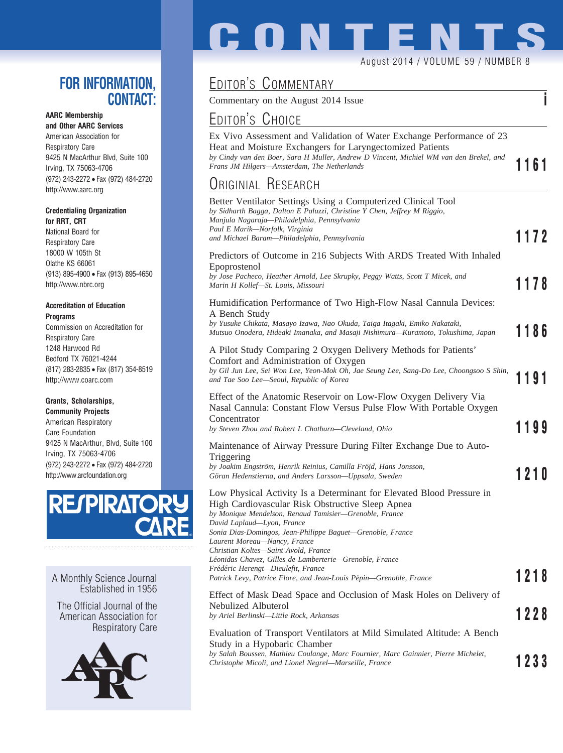#### **FOR INFORMATION, CONTACT:**

#### **AARC Membership**

**and Other AARC Services** American Association for Respiratory Care 9425 N MacArthur Blvd, Suite 100 Irving, TX 75063-4706 (972) 243-2272 • Fax (972) 484-2720 http://www.aarc.org

#### **Credentialing Organization for RRT, CRT**

National Board for Respiratory Care 18000 W 105th St Olathe KS 66061 (913) 895-4900 • Fax (913) 895-4650 http://www.nbrc.org

#### **Accreditation of Education Programs**

Commission on Accreditation for Respiratory Care 1248 Harwood Rd Bedford TX 76021-4244 (817) 283-2835 • Fax (817) 354-8519 http://www.coarc.com

#### **Grants, Scholarships,**

**Community Projects** American Respiratory Care Foundation 9425 N MacArthur, Blvd, Suite 100 Irving, TX 75063-4706 (972) 243-2272 • Fax (972) 484-2720 http://www.arcfoundation.org



A Monthly Science Journal Established in 1956

The Official Journal of the American Association for Respiratory Care



# **CONTENTS** August 2014 / VOLUME 59 / NUMBER 8

## EDITOR'S COMMENTARY

Commentary on the August 2014 Issue **i**

### EDITOR'S CHOICE

Ex Vivo Assessment and Validation of Water Exchange Performance of 23 Heat and Moisture Exchangers for Laryngectomized Patients *by Cindy van den Boer, Sara H Muller, Andrew D Vincent, Michiel WM van den Brekel, and Frans JM Hilgers—Amsterdam, The Netherlands* **1161 1161 1161 1161 1161 1161 1161 1161 1161 1161 1161 1161 1161 1161 1161 1161 1161 1161 1161 1161 1161 1161 1161 1161 1161**

### ORIGINIAL RESEARCH

| URIGINIAL NESEARCH                                                                                                                                                                                                                                                                                                                                                                                                                                                                                                             |      |
|--------------------------------------------------------------------------------------------------------------------------------------------------------------------------------------------------------------------------------------------------------------------------------------------------------------------------------------------------------------------------------------------------------------------------------------------------------------------------------------------------------------------------------|------|
| Better Ventilator Settings Using a Computerized Clinical Tool<br>by Sidharth Bagga, Dalton E Paluzzi, Christine Y Chen, Jeffrey M Riggio,<br>Manjula Nagaraja—Philadelphia, Pennsylvania<br>Paul E Marik—Norfolk, Virginia<br>and Michael Baram—Philadelphia, Pennsylvania                                                                                                                                                                                                                                                     | 1172 |
| Predictors of Outcome in 216 Subjects With ARDS Treated With Inhaled<br>Epoprostenol<br>by Jose Pacheco, Heather Arnold, Lee Skrupky, Peggy Watts, Scott T Micek, and<br>Marin H Kollef—St. Louis, Missouri                                                                                                                                                                                                                                                                                                                    | 1178 |
| Humidification Performance of Two High-Flow Nasal Cannula Devices:<br>A Bench Study<br>by Yusuke Chikata, Masayo Izawa, Nao Okuda, Taiga Itagaki, Emiko Nakataki,<br>Mutsuo Onodera, Hideaki Imanaka, and Masaji Nishimura—Kuramoto, Tokushima, Japan                                                                                                                                                                                                                                                                          | 1186 |
| A Pilot Study Comparing 2 Oxygen Delivery Methods for Patients'<br>Comfort and Administration of Oxygen<br>by Gil Jun Lee, Sei Won Lee, Yeon-Mok Oh, Jae Seung Lee, Sang-Do Lee, Choongsoo S Shin,<br>and Tae Soo Lee—Seoul, Republic of Korea                                                                                                                                                                                                                                                                                 | 1191 |
| Effect of the Anatomic Reservoir on Low-Flow Oxygen Delivery Via<br>Nasal Cannula: Constant Flow Versus Pulse Flow With Portable Oxygen<br>Concentrator<br>by Steven Zhou and Robert L Chatburn-Cleveland, Ohio<br>Maintenance of Airway Pressure During Filter Exchange Due to Auto-                                                                                                                                                                                                                                          | 1199 |
| Triggering<br>by Joakim Engström, Henrik Reinius, Camilla Fröjd, Hans Jonsson,<br>Göran Hedenstierna, and Anders Larsson-Uppsala, Sweden                                                                                                                                                                                                                                                                                                                                                                                       | 1210 |
| Low Physical Activity Is a Determinant for Elevated Blood Pressure in<br>High Cardiovascular Risk Obstructive Sleep Apnea<br>by Monique Mendelson, Renaud Tamisier-Grenoble, France<br>David Laplaud—Lyon, France<br>Sonia Dias-Domingos, Jean-Philippe Baguet—Grenoble, France<br>Laurent Moreau—Nancy, France<br>Christian Koltes-Saint Avold, France<br>Léonidas Chavez, Gilles de Lamberterie—Grenoble, France<br>Frédéric Herengt—Dieulefit, France<br>Patrick Levy, Patrice Flore, and Jean-Louis Pépin—Grenoble, France | 1218 |
| Effect of Mask Dead Space and Occlusion of Mask Holes on Delivery of<br>Nebulized Albuterol<br>by Ariel Berlinski-Little Rock, Arkansas                                                                                                                                                                                                                                                                                                                                                                                        | 1228 |
| Evaluation of Transport Ventilators at Mild Simulated Altitude: A Bench<br>Study in a Hypobaric Chamber<br>by Salah Boussen, Mathieu Coulange, Marc Fournier, Marc Gainnier, Pierre Michelet,<br>Christophe Micoli, and Lionel Negrel-Marseille, France                                                                                                                                                                                                                                                                        | 1233 |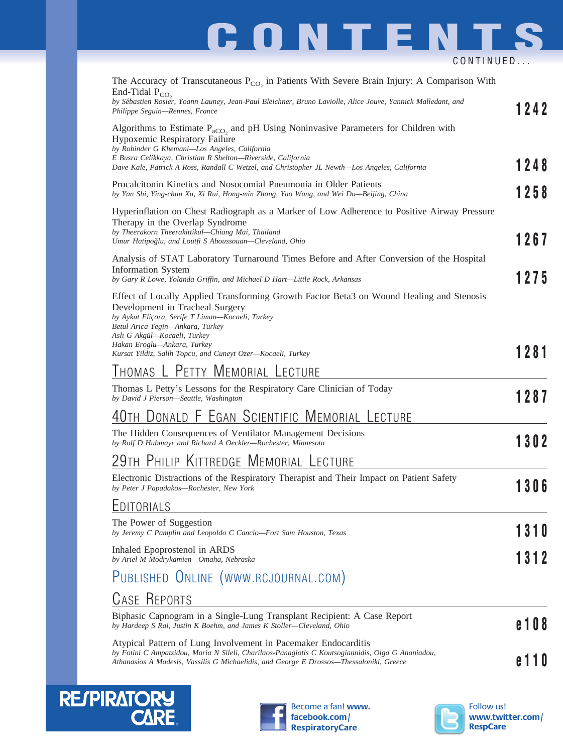# **CONTENTS** CONTINUED...

| The Accuracy of Transcutaneous $P_{CO_2}$ in Patients With Severe Brain Injury: A Comparison With<br>End-Tidal $P_{CO_2}$<br>by Sébastien Rosier, Yoann Launey, Jean-Paul Bleichner, Bruno Laviolle, Alice Jouve, Yannick Malledant, and<br>Philippe Seguin-Rennes, France                                                                        | 1242     |
|---------------------------------------------------------------------------------------------------------------------------------------------------------------------------------------------------------------------------------------------------------------------------------------------------------------------------------------------------|----------|
| Algorithms to Estimate $P_{aCO_2}$ and pH Using Noninvasive Parameters for Children with<br>Hypoxemic Respiratory Failure<br>by Robinder G Khemani-Los Angeles, California<br>E Busra Celikkaya, Christian R Shelton-Riverside, California<br>Dave Kale, Patrick A Ross, Randall C Wetzel, and Christopher JL Newth—Los Angeles, California       | 1248     |
| Procalcitonin Kinetics and Nosocomial Pneumonia in Older Patients<br>by Yan Shi, Ying-chun Xu, Xi Rui, Hong-min Zhang, Yao Wang, and Wei Du-Beijing, China                                                                                                                                                                                        | 1258     |
| Hyperinflation on Chest Radiograph as a Marker of Low Adherence to Positive Airway Pressure<br>Therapy in the Overlap Syndrome<br>by Theerakorn Theerakittikul-Chiang Mai, Thailand<br>Umur Hatipoğlu, and Loutfi S Aboussouan-Cleveland, Ohio                                                                                                    | 1267     |
| Analysis of STAT Laboratory Turnaround Times Before and After Conversion of the Hospital<br><b>Information System</b><br>by Gary R Lowe, Yolanda Griffin, and Michael D Hart-Little Rock, Arkansas                                                                                                                                                | 1275     |
| Effect of Locally Applied Transforming Growth Factor Beta3 on Wound Healing and Stenosis<br>Development in Tracheal Surgery<br>by Aykut Eliçora, Serife T Liman-Kocaeli, Turkey<br>Betul Arıca Yegin-Ankara, Turkey<br>Aslı G Akgül-Kocaeli, Turkey<br>Hakan Eroglu-Ankara, Turkey<br>Kursat Yildiz, Salih Topcu, and Cuneyt Ozer-Kocaeli, Turkey | 1281     |
| THOMAS L PETTY MEMORIAL LECTURE                                                                                                                                                                                                                                                                                                                   |          |
| Thomas L Petty's Lessons for the Respiratory Care Clinician of Today<br>by David J Pierson-Seattle, Washington                                                                                                                                                                                                                                    | 1287     |
| 40th Donald F Egan Scientific Memorial Lecture                                                                                                                                                                                                                                                                                                    |          |
| The Hidden Consequences of Ventilator Management Decisions<br>by Rolf D Hubmayr and Richard A Oeckler-Rochester, Minnesota                                                                                                                                                                                                                        | 1302     |
| 29th Philip Kittredge Memorial Lecture                                                                                                                                                                                                                                                                                                            |          |
| Electronic Distractions of the Respiratory Therapist and Their Impact on Patient Safety<br>by Peter J Papadakos-Rochester, New York                                                                                                                                                                                                               | 3        |
| <u>EDITORIALS</u>                                                                                                                                                                                                                                                                                                                                 |          |
| The Power of Suggestion<br>by Jeremy C Pamplin and Leopoldo C Cancio—Fort Sam Houston, Texas                                                                                                                                                                                                                                                      | 10       |
| Inhaled Epoprostenol in ARDS<br>by Ariel M Modrykamien-Omaha, Nebraska                                                                                                                                                                                                                                                                            | 12<br>13 |
| PUBLISHED ONLINE (WWW.RCJOURNAL.COM)                                                                                                                                                                                                                                                                                                              |          |
| <b>CASE REPORTS</b>                                                                                                                                                                                                                                                                                                                               |          |
| Biphasic Capnogram in a Single-Lung Transplant Recipient: A Case Report<br>by Hardeep S Rai, Justin K Boehm, and James K Stoller—Cleveland, Ohio                                                                                                                                                                                                  | 08       |
| Atypical Pattern of Lung Involvement in Pacemaker Endocarditis<br>by Fotini C Ampatzidou, Maria N Sileli, Charilaos-Panagiotis C Koutsogiannidis, Olga G Ananiadou,<br>Athanasios A Madesis, Vassilis G Michaelidis, and George E Drossos—Thessaloniki, Greece                                                                                    | 10       |